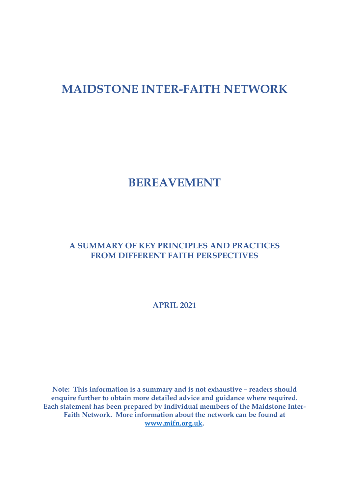# **MAIDSTONE INTER-FAITH NETWORK**

# **BEREAVEMENT**

#### **A SUMMARY OF KEY PRINCIPLES AND PRACTICES FROM DIFFERENT FAITH PERSPECTIVES**

**APRIL 2021**

**Note: This information is a summary and is not exhaustive – readers should enquire further to obtain more detailed advice and guidance where required. Each statement has been prepared by individual members of the Maidstone Inter-Faith Network. More information about the network can be found at www.mifn.org.uk.**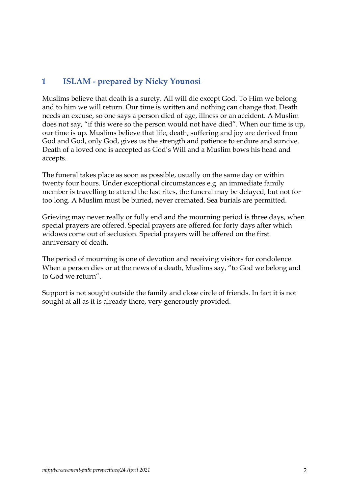## **1 ISLAM - prepared by Nicky Younosi**

Muslims believe that death is a surety. All will die except God. To Him we belong and to him we will return. Our time is written and nothing can change that. Death needs an excuse, so one says a person died of age, illness or an accident. A Muslim does not say, "if this were so the person would not have died". When our time is up, our time is up. Muslims believe that life, death, suffering and joy are derived from God and God, only God, gives us the strength and patience to endure and survive. Death of a loved one is accepted as God's Will and a Muslim bows his head and accepts.

The funeral takes place as soon as possible, usually on the same day or within twenty four hours. Under exceptional circumstances e.g. an immediate family member is travelling to attend the last rites, the funeral may be delayed, but not for too long. A Muslim must be buried, never cremated. Sea burials are permitted.

Grieving may never really or fully end and the mourning period is three days, when special prayers are offered. Special prayers are offered for forty days after which widows come out of seclusion. Special prayers will be offered on the first anniversary of death.

The period of mourning is one of devotion and receiving visitors for condolence. When a person dies or at the news of a death, Muslims say, "to God we belong and to God we return".

Support is not sought outside the family and close circle of friends. In fact it is not sought at all as it is already there, very generously provided.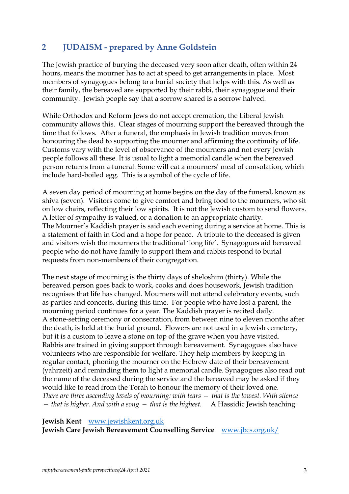### **2 JUDAISM - prepared by Anne Goldstein**

The Jewish practice of burying the deceased very soon after death, often within 24 hours, means the mourner has to act at speed to get arrangements in place. Most members of synagogues belong to a burial society that helps with this. As well as their family, the bereaved are supported by their rabbi, their synagogue and their community. Jewish people say that a sorrow shared is a sorrow halved.

While Orthodox and Reform Jews do not accept cremation, the Liberal Jewish community allows this. Clear stages of mourning support the bereaved through the time that follows. After a funeral, the emphasis in Jewish tradition moves from honouring the dead to supporting the mourner and affirming the continuity of life. Customs vary with the level of observance of the mourners and not every Jewish people follows all these. It is usual to light a memorial candle when the bereaved person returns from a funeral. Some will eat a mourners' meal of consolation, which include hard-boiled egg. This is a symbol of the cycle of life.

A seven day period of mourning at home begins on the day of the funeral, known as shiva (seven). Visitors come to give comfort and bring food to the mourners, who sit on low chairs, reflecting their low spirits. It is not the Jewish custom to send flowers. A letter of sympathy is valued, or a donation to an appropriate charity. The Mourner's Kaddish prayer is said each evening during a service at home. This is a statement of faith in God and a hope for peace. A tribute to the deceased is given and visitors wish the mourners the traditional 'long life'. Synagogues aid bereaved people who do not have family to support them and rabbis respond to burial requests from non-members of their congregation.

The next stage of mourning is the thirty days of sheloshim (thirty). While the bereaved person goes back to work, cooks and does housework, Jewish tradition recognises that life has changed. Mourners will not attend celebratory events, such as parties and concerts, during this time. For people who have lost a parent, the mourning period continues for a year. The Kaddish prayer is recited daily. A stone-setting ceremony or consecration, from between nine to eleven months after the death, is held at the burial ground. Flowers are not used in a Jewish cemetery, but it is a custom to leave a stone on top of the grave when you have visited. Rabbis are trained in giving support through bereavement. Synagogues also have volunteers who are responsible for welfare. They help members by keeping in regular contact, phoning the mourner on the Hebrew date of their bereavement (yahrzeit) and reminding them to light a memorial candle. Synagogues also read out the name of the deceased during the service and the bereaved may be asked if they would like to read from the Torah to honour the memory of their loved one. *There are three ascending levels of mourning: with tears — that is the lowest. With silence — that is higher. And with a song — that is the highest.* A Hassidic Jewish teaching

**Jewish Kent** www.jewishkent.org.uk

**Jewish Care Jewish Bereavement Counselling Service** www.jbcs.org.uk/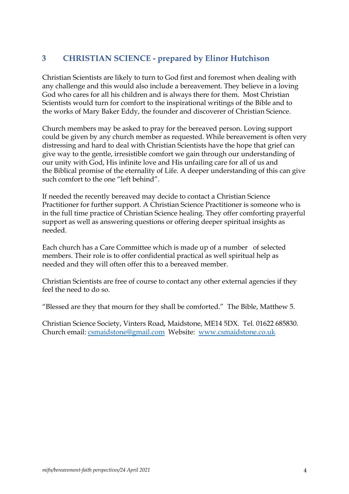## **3 CHRISTIAN SCIENCE - prepared by Elinor Hutchison**

Christian Scientists are likely to turn to God first and foremost when dealing with any challenge and this would also include a bereavement. They believe in a loving God who cares for all his children and is always there for them. Most Christian Scientists would turn for comfort to the inspirational writings of the Bible and to the works of Mary Baker Eddy, the founder and discoverer of Christian Science.

Church members may be asked to pray for the bereaved person. Loving support could be given by any church member as requested. While bereavement is often very distressing and hard to deal with Christian Scientists have the hope that grief can give way to the gentle, irresistible comfort we gain through our understanding of our unity with God, His infinite love and His unfailing care for all of us and the Biblical promise of the eternality of Life. A deeper understanding of this can give such comfort to the one "left behind".

If needed the recently bereaved may decide to contact a Christian Science Practitioner for further support. A Christian Science Practitioner is someone who is in the full time practice of Christian Science healing. They offer comforting prayerful support as well as answering questions or offering deeper spiritual insights as needed.

Each church has a Care Committee which is made up of a number of selected members. Their role is to offer confidential practical as well spiritual help as needed and they will often offer this to a bereaved member.

Christian Scientists are free of course to contact any other external agencies if they feel the need to do so.

"Blessed are they that mourn for they shall be comforted." The Bible, Matthew 5.

Christian Science Society, Vinters Road*,* Maidstone, ME14 5DX. Tel. 01622 685830. Church email: csmaidstone@gmail.com Website: www.csmaidstone.co.uk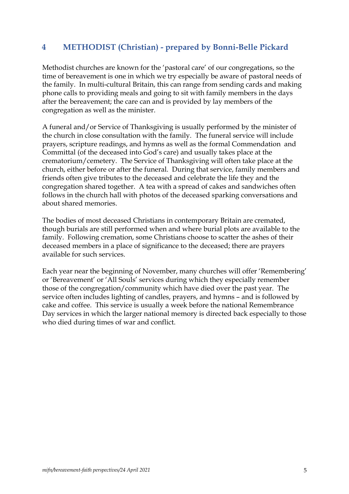#### **4 METHODIST (Christian) - prepared by Bonni-Belle Pickard**

Methodist churches are known for the 'pastoral care' of our congregations, so the time of bereavement is one in which we try especially be aware of pastoral needs of the family. In multi-cultural Britain, this can range from sending cards and making phone calls to providing meals and going to sit with family members in the days after the bereavement; the care can and is provided by lay members of the congregation as well as the minister.

A funeral and/or Service of Thanksgiving is usually performed by the minister of the church in close consultation with the family. The funeral service will include prayers, scripture readings, and hymns as well as the formal Commendation and Committal (of the deceased into God's care) and usually takes place at the crematorium/cemetery. The Service of Thanksgiving will often take place at the church, either before or after the funeral. During that service, family members and friends often give tributes to the deceased and celebrate the life they and the congregation shared together. A tea with a spread of cakes and sandwiches often follows in the church hall with photos of the deceased sparking conversations and about shared memories.

The bodies of most deceased Christians in contemporary Britain are cremated, though burials are still performed when and where burial plots are available to the family. Following cremation, some Christians choose to scatter the ashes of their deceased members in a place of significance to the deceased; there are prayers available for such services.

Each year near the beginning of November, many churches will offer 'Remembering' or 'Bereavement' or 'All Souls' services during which they especially remember those of the congregation/community which have died over the past year. The service often includes lighting of candles, prayers, and hymns – and is followed by cake and coffee. This service is usually a week before the national Remembrance Day services in which the larger national memory is directed back especially to those who died during times of war and conflict.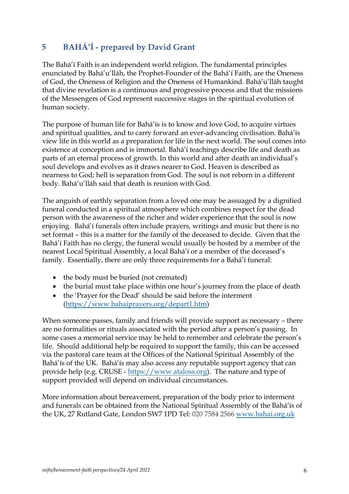# **5 BAHÁ'Í - prepared by David Grant**

The Bahá'í Faith is an independent world religion. The fundamental principles enunciated by Bahá'u'lláh, the Prophet-Founder of the Bahá'í Faith, are the Oneness of God, the Oneness of Religion and the Oneness of Humankind. Bahá'u'lláh taught that divine revelation is a continuous and progressive process and that the missions of the Messengers of God represent successive stages in the spiritual evolution of human society.

The purpose of human life for Bahá'ís is to know and love God, to acquire virtues and spiritual qualities, and to carry forward an ever-advancing civilisation. Bahá'ís view life in this world as a preparation for life in the next world. The soul comes into existence at conception and is immortal. Bahá'í teachings describe life and death as parts of an eternal process of growth. In this world and after death an individual's soul develops and evolves as it draws nearer to God. Heaven is described as nearness to God; hell is separation from God. The soul is not reborn in a different body. Bahá'u'lláh said that death is reunion with God.

The anguish of earthly separation from a loved one may be assuaged by a dignified funeral conducted in a spiritual atmosphere which combines respect for the dead person with the awareness of the richer and wider experience that the soul is now enjoying. Bahá'í funerals often include prayers, writings and music but there is no set format – this is a matter for the family of the deceased to decide. Given that the Bahá'í Faith has no clergy, the funeral would usually be hosted by a member of the nearest Local Spiritual Assembly, a local Bahá'í or a member of the deceased's family. Essentially, there are only three requirements for a Bahá'í funeral:

- the body must be buried (not cremated)
- the burial must take place within one hour's journey from the place of death
- the 'Prayer for the Dead' should be said before the interment (https://www.bahaiprayers.org/depart1.htm)

When someone passes, family and friends will provide support as necessary – there are no formalities or rituals associated with the period after a person's passing. In some cases a memorial service may be held to remember and celebrate the person's life. Should additional help be required to support the family, this can be accessed via the pastoral care team at the Offices of the National Spiritual Assembly of the Bahá'ís of the UK. Bahá'ís may also access any reputable support agency that can provide help (e.g. CRUSE - https://www.ataloss.org). The nature and type of support provided will depend on individual circumstances.

More information about bereavement, preparation of the body prior to interment and funerals can be obtained from the National Spiritual Assembly of the Bahá'ís of the UK, 27 Rutland Gate, London SW7 1PD Tel: 020 7584 2566 www.bahai.org.uk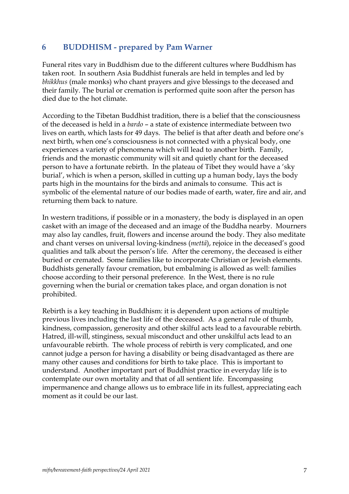#### **6 BUDDHISM - prepared by Pam Warner**

Funeral rites vary in Buddhism due to the different cultures where Buddhism has taken root. In southern Asia Buddhist funerals are held in temples and led by *bhikkhus* (male monks) who chant prayers and give blessings to the deceased and their family. The burial or cremation is performed quite soon after the person has died due to the hot climate.

According to the Tibetan Buddhist tradition, there is a belief that the consciousness of the deceased is held in a *bardo* – a state of existence intermediate between two lives on earth, which lasts for 49 days. The belief is that after death and before one's next birth, when one's consciousness is not connected with a physical body, one experiences a variety of phenomena which will lead to another birth. Family, friends and the monastic community will sit and quietly chant for the deceased person to have a fortunate rebirth. In the plateau of Tibet they would have a 'sky burial', which is when a person, skilled in cutting up a human body, lays the body parts high in the mountains for the birds and animals to consume. This act is symbolic of the elemental nature of our bodies made of earth, water, fire and air, and returning them back to nature.

In western traditions, if possible or in a monastery, the body is displayed in an open casket with an image of the deceased and an image of the Buddha nearby. Mourners may also lay candles, fruit, flowers and incense around the body. They also meditate and chant verses on universal loving-kindness (*mettā*), rejoice in the deceased's good qualities and talk about the person's life. After the ceremony, the deceased is either buried or cremated. Some families like to incorporate Christian or Jewish elements. Buddhists generally favour cremation, but embalming is allowed as well: families choose according to their personal preference. In the West, there is no rule governing when the burial or cremation takes place, and organ donation is not prohibited.

Rebirth is a key teaching in Buddhism: it is dependent upon actions of multiple previous lives including the last life of the deceased. As a general rule of thumb, kindness, compassion, generosity and other skilful acts lead to a favourable rebirth. Hatred, ill-will, stinginess, sexual misconduct and other unskilful acts lead to an unfavourable rebirth. The whole process of rebirth is very complicated, and one cannot judge a person for having a disability or being disadvantaged as there are many other causes and conditions for birth to take place. This is important to understand. Another important part of Buddhist practice in everyday life is to contemplate our own mortality and that of all sentient life. Encompassing impermanence and change allows us to embrace life in its fullest, appreciating each moment as it could be our last.